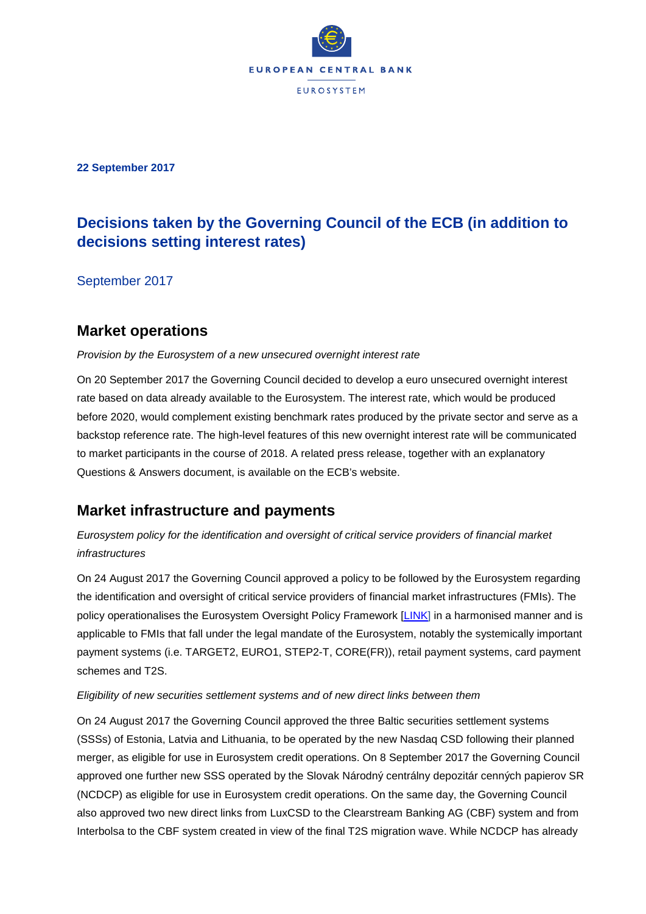

**22 September 2017**

# **Decisions taken by the Governing Council of the ECB (in addition to decisions setting interest rates)**

September 2017

## **Market operations**

### *Provision by the Eurosystem of a new unsecured overnight interest rate*

On 20 September 2017 the Governing Council decided to develop a euro unsecured overnight interest rate based on data already available to the Eurosystem. The interest rate, which would be produced before 2020, would complement existing benchmark rates produced by the private sector and serve as a backstop reference rate. The high-level features of this new overnight interest rate will be communicated to market participants in the course of 2018. A related press release, together with an explanatory Questions & Answers document, is available on the ECB's website.

## **Market infrastructure and payments**

## *Eurosystem policy for the identification and oversight of critical service providers of financial market infrastructures*

On 24 August 2017 the Governing Council approved a policy to be followed by the Eurosystem regarding the identification and oversight of critical service providers of financial market infrastructures (FMIs). The policy operationalises the Eurosystem Oversight Policy Framework [\[LINK\]](http://www.ecb.europa.eu/pub/pdf/other/eurosystemoversightpolicyframework201607.en.pdf?4cb84eb3183f0bb2c71bc3509af6ffe3) in a harmonised manner and is applicable to FMIs that fall under the legal mandate of the Eurosystem, notably the systemically important payment systems (i.e. TARGET2, EURO1, STEP2-T, CORE(FR)), retail payment systems, card payment schemes and T2S.

### *Eligibility of new securities settlement systems and of new direct links between them*

On 24 August 2017 the Governing Council approved the three Baltic securities settlement systems (SSSs) of Estonia, Latvia and Lithuania, to be operated by the new Nasdaq CSD following their planned merger, as eligible for use in Eurosystem credit operations. On 8 September 2017 the Governing Council approved one further new SSS operated by the Slovak Národný centrálny depozitár cenných papierov SR (NCDCP) as eligible for use in Eurosystem credit operations. On the same day, the Governing Council also approved two new direct links from LuxCSD to the Clearstream Banking AG (CBF) system and from Interbolsa to the CBF system created in view of the final T2S migration wave. While NCDCP has already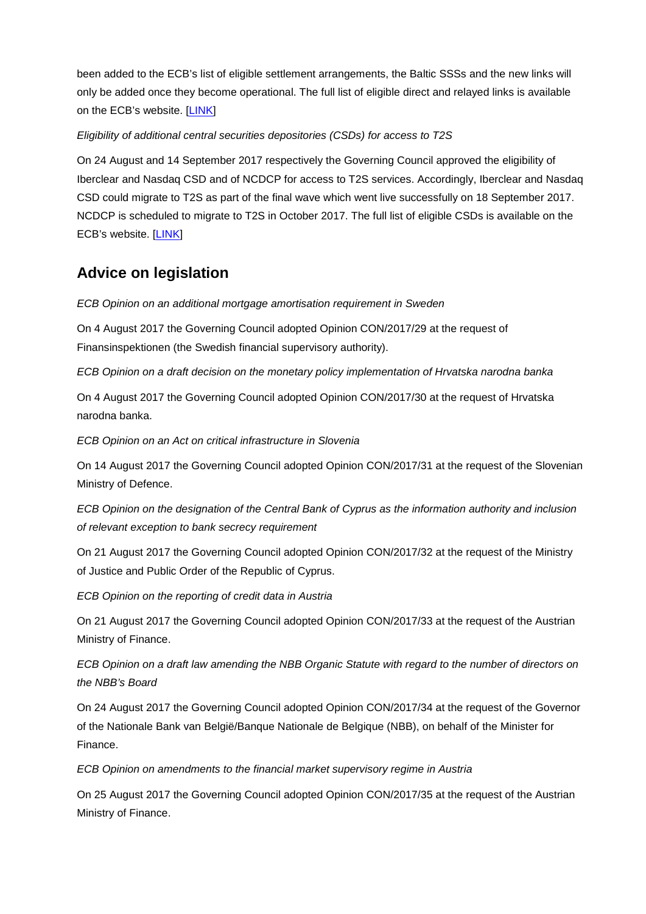been added to the ECB's list of eligible settlement arrangements, the Baltic SSSs and the new links will only be added once they become operational. The full list of eligible direct and relayed links is available on the ECB's website. [\[LINK](http://www.ecb.europa.eu/paym/coll/coll/html/index.en.html)]

### *Eligibility of additional central securities depositories (CSDs) for access to T2S*

On 24 August and 14 September 2017 respectively the Governing Council approved the eligibility of Iberclear and Nasdaq CSD and of NCDCP for access to T2S services. Accordingly, Iberclear and Nasdaq CSD could migrate to T2S as part of the final wave which went live successfully on 18 September 2017. NCDCP is scheduled to migrate to T2S in October 2017. The full list of eligible CSDs is available on the ECB's website.[[LINK\]](http://www.ecb.europa.eu/paym/t2s/stakeholders/csd/html/index.en.html)

# **Advice on legislation**

*ECB Opinion on an additional mortgage amortisation requirement in Sweden*

On 4 August 2017 the Governing Council adopted Opinion CON/2017/29 at the request of Finansinspektionen (the Swedish financial supervisory authority).

*ECB Opinion on a draft decision on the monetary policy implementation of Hrvatska narodna banka*

On 4 August 2017 the Governing Council adopted Opinion CON/2017/30 at the request of Hrvatska narodna banka.

*ECB Opinion on an Act on critical infrastructure in Slovenia*

On 14 August 2017 the Governing Council adopted Opinion CON/2017/31 at the request of the Slovenian Ministry of Defence.

*ECB Opinion on the designation of the Central Bank of Cyprus as the information authority and inclusion of relevant exception to bank secrecy requirement*

On 21 August 2017 the Governing Council adopted Opinion CON/2017/32 at the request of the Ministry of Justice and Public Order of the Republic of Cyprus.

*ECB Opinion on the reporting of credit data in Austria*

On 21 August 2017 the Governing Council adopted Opinion CON/2017/33 at the request of the Austrian Ministry of Finance.

*ECB Opinion on a draft law amending the NBB Organic Statute with regard to the number of directors on the NBB's Board*

On 24 August 2017 the Governing Council adopted Opinion CON/2017/34 at the request of the Governor of the Nationale Bank van België/Banque Nationale de Belgique (NBB), on behalf of the Minister for Finance.

*ECB Opinion on amendments to the financial market supervisory regime in Austria*

On 25 August 2017 the Governing Council adopted Opinion CON/2017/35 at the request of the Austrian Ministry of Finance.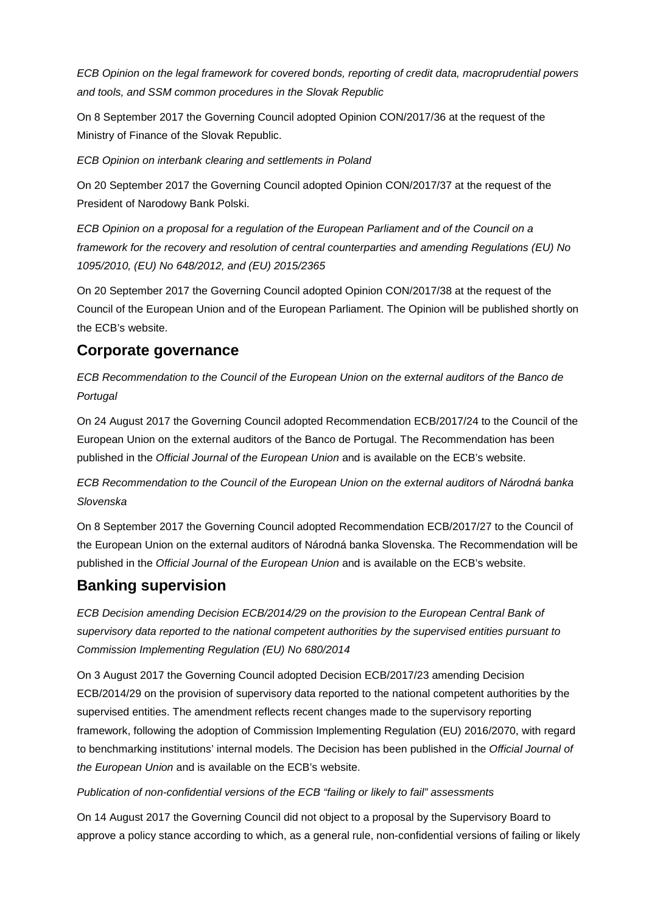*ECB Opinion on the legal framework for covered bonds, reporting of credit data, macroprudential powers and tools, and SSM common procedures in the Slovak Republic*

On 8 September 2017 the Governing Council adopted Opinion CON/2017/36 at the request of the Ministry of Finance of the Slovak Republic.

*ECB Opinion on interbank clearing and settlements in Poland*

On 20 September 2017 the Governing Council adopted Opinion CON/2017/37 at the request of the President of Narodowy Bank Polski.

*ECB Opinion on a proposal for a regulation of the European Parliament and of the Council on a framework for the recovery and resolution of central counterparties and amending Regulations (EU) No 1095/2010, (EU) No 648/2012, and (EU) 2015/2365*

On 20 September 2017 the Governing Council adopted Opinion CON/2017/38 at the request of the Council of the European Union and of the European Parliament. The Opinion will be published shortly on the ECB's website.

## **Corporate governance**

*ECB Recommendation to the Council of the European Union on the external auditors of the Banco de Portugal*

On 24 August 2017 the Governing Council adopted Recommendation ECB/2017/24 to the Council of the European Union on the external auditors of the Banco de Portugal. The Recommendation has been published in the *Official Journal of the European Union* and is available on the ECB's website.

*ECB Recommendation to the Council of the European Union on the external auditors of Národná banka Slovenska*

On 8 September 2017 the Governing Council adopted Recommendation ECB/2017/27 to the Council of the European Union on the external auditors of Národná banka Slovenska. The Recommendation will be published in the *Official Journal of the European Union* and is available on the ECB's website.

## **Banking supervision**

*ECB Decision amending Decision ECB/2014/29 on the provision to the European Central Bank of supervisory data reported to the national competent authorities by the supervised entities pursuant to Commission Implementing Regulation (EU) No 680/2014*

On 3 August 2017 the Governing Council adopted Decision ECB/2017/23 amending Decision ECB/2014/29 on the provision of supervisory data reported to the national competent authorities by the supervised entities. The amendment reflects recent changes made to the supervisory reporting framework, following the adoption of Commission Implementing Regulation (EU) 2016/2070, with regard to benchmarking institutions' internal models. The Decision has been published in the *Official Journal of the European Union* and is available on the ECB's website.

### *Publication of non-confidential versions of the ECB "failing or likely to fail" assessments*

On 14 August 2017 the Governing Council did not object to a proposal by the Supervisory Board to approve a policy stance according to which, as a general rule, non-confidential versions of failing or likely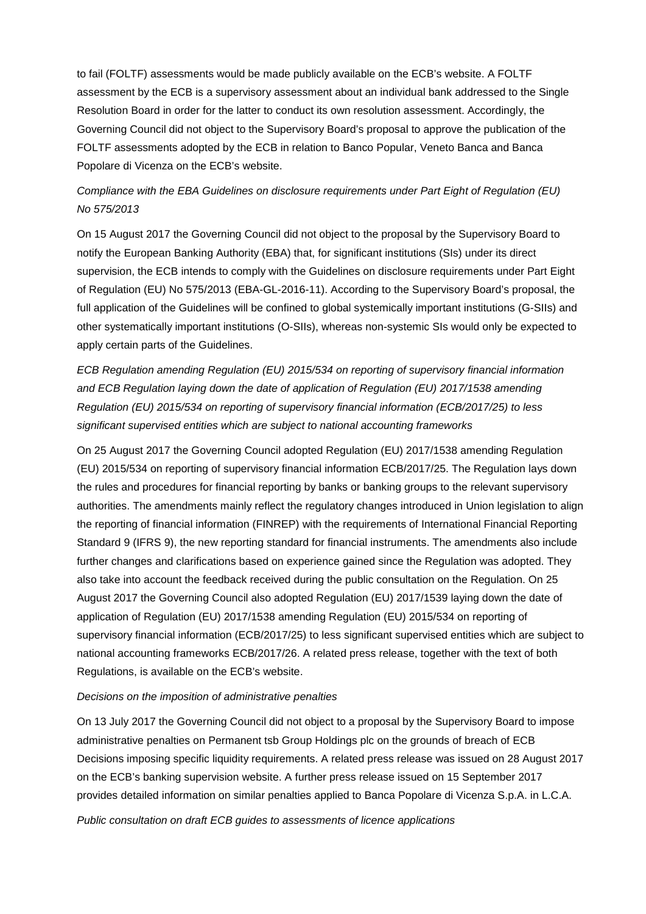to fail (FOLTF) assessments would be made publicly available on the ECB's website. A FOLTF assessment by the ECB is a supervisory assessment about an individual bank addressed to the Single Resolution Board in order for the latter to conduct its own resolution assessment. Accordingly, the Governing Council did not object to the Supervisory Board's proposal to approve the publication of the FOLTF assessments adopted by the ECB in relation to Banco Popular, Veneto Banca and Banca Popolare di Vicenza on the ECB's website.

## *Compliance with the EBA Guidelines on disclosure requirements under Part Eight of Regulation (EU) No 575/2013*

On 15 August 2017 the Governing Council did not object to the proposal by the Supervisory Board to notify the European Banking Authority (EBA) that, for significant institutions (SIs) under its direct supervision, the ECB intends to comply with the Guidelines on disclosure requirements under Part Eight of Regulation (EU) No 575/2013 (EBA-GL-2016-11). According to the Supervisory Board's proposal, the full application of the Guidelines will be confined to global systemically important institutions (G-SIIs) and other systematically important institutions (O-SIIs), whereas non-systemic SIs would only be expected to apply certain parts of the Guidelines.

*ECB Regulation amending Regulation (EU) 2015/534 on reporting of supervisory financial information and ECB Regulation laying down the date of application of Regulation (EU) 2017/1538 amending Regulation (EU) 2015/534 on reporting of supervisory financial information (ECB/2017/25) to less significant supervised entities which are subject to national accounting frameworks*

On 25 August 2017 the Governing Council adopted Regulation (EU) 2017/1538 amending Regulation (EU) 2015/534 on reporting of supervisory financial information ECB/2017/25. The Regulation lays down the rules and procedures for financial reporting by banks or banking groups to the relevant supervisory authorities. The amendments mainly reflect the regulatory changes introduced in Union legislation to align the reporting of financial information (FINREP) with the requirements of International Financial Reporting Standard 9 (IFRS 9), the new reporting standard for financial instruments. The amendments also include further changes and clarifications based on experience gained since the Regulation was adopted. They also take into account the feedback received during the public consultation on the Regulation. On 25 August 2017 the Governing Council also adopted Regulation (EU) 2017/1539 laying down the date of application of Regulation (EU) 2017/1538 amending Regulation (EU) 2015/534 on reporting of supervisory financial information (ECB/2017/25) to less significant supervised entities which are subject to national accounting frameworks ECB/2017/26. A related press release, together with the text of both Regulations, is available on the ECB's website.

#### *Decisions on the imposition of administrative penalties*

On 13 July 2017 the Governing Council did not object to a proposal by the Supervisory Board to impose administrative penalties on Permanent tsb Group Holdings plc on the grounds of breach of ECB Decisions imposing specific liquidity requirements. A related press release was issued on 28 August 2017 on the ECB's banking supervision website. A further press release issued on 15 September 2017 provides detailed information on similar penalties applied to Banca Popolare di Vicenza S.p.A. in L.C.A.

*Public consultation on draft ECB guides to assessments of licence applications*